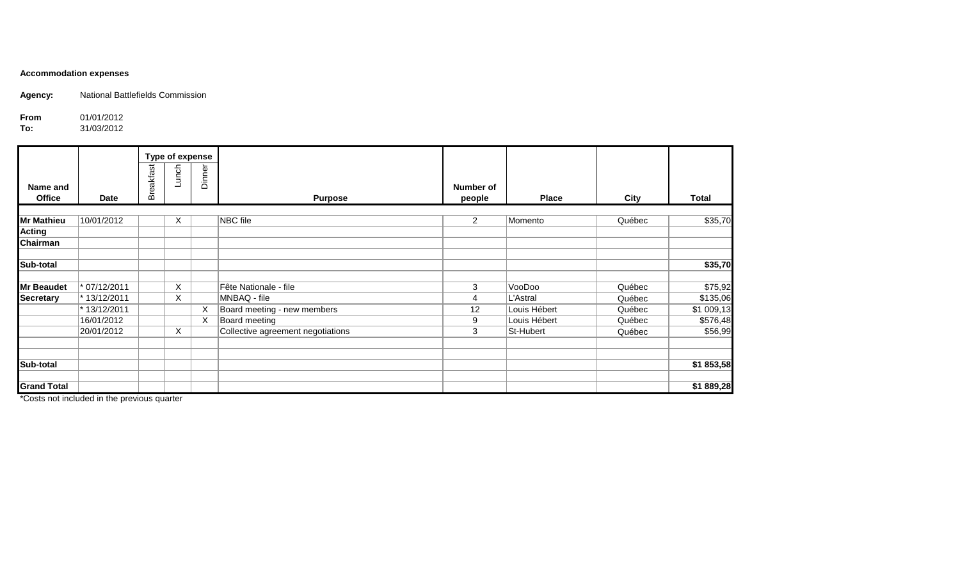## **Accommodation expenses**

**Agency:** National Battlefields Commission

**From** 01/01/2012<br>**To:** 31/03/2012

**To:** 31/03/2012

|                    |                |                  | Type of expense |        |                                   |                |              |        |              |
|--------------------|----------------|------------------|-----------------|--------|-----------------------------------|----------------|--------------|--------|--------------|
|                    |                | <b>Breakfast</b> | Lunch           | Dinner |                                   |                |              |        |              |
| Name and           |                |                  |                 |        |                                   | Number of      |              |        |              |
| <b>Office</b>      | <b>Date</b>    |                  |                 |        | <b>Purpose</b>                    | people         | <b>Place</b> | City   | <b>Total</b> |
|                    |                |                  |                 |        |                                   |                |              |        |              |
| <b>Mr Mathieu</b>  | 10/01/2012     |                  | X               |        | NBC file                          | $\overline{2}$ | Momento      | Québec | \$35,70      |
| <b>Acting</b>      |                |                  |                 |        |                                   |                |              |        |              |
| <b>Chairman</b>    |                |                  |                 |        |                                   |                |              |        |              |
| Sub-total          |                |                  |                 |        |                                   |                |              |        | \$35,70      |
| <b>Mr Beaudet</b>  | $* 07/12/2011$ |                  | X               |        | Fête Nationale - file             | 3              | VooDoo       | Québec | \$75,92      |
| <b>Secretary</b>   | * 13/12/2011   |                  | X               |        | MNBAQ - file                      | 4              | L'Astral     | Québec | \$135,06     |
|                    | * 13/12/2011   |                  |                 | X      | Board meeting - new members       | 12             | Louis Hébert | Québec | \$1 009,13   |
|                    | 16/01/2012     |                  |                 | X      | Board meeting                     | 9              | Louis Hébert | Québec | \$576,48     |
|                    | 20/01/2012     |                  | $\times$        |        | Collective agreement negotiations | 3              | St-Hubert    | Québec | \$56,99      |
|                    |                |                  |                 |        |                                   |                |              |        |              |
| Sub-total          |                |                  |                 |        |                                   |                |              |        | \$1 853,58   |
| <b>Grand Total</b> |                |                  |                 |        |                                   |                |              |        | \$1889,28    |

\*Costs not included in the previous quarter